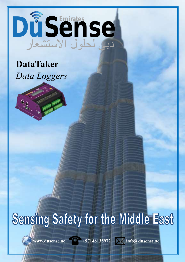# دبي لحلول االستشعار DuSense

## **DataTaker** *Data Loggers*



## Sensing Safety for the Middle East

www.dusense.ae +97148135972 > info@dusense.ae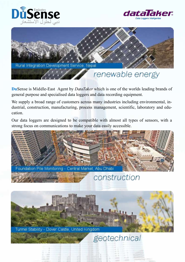





### renewable energy

**Du**Sense is Middle-East Agent by *DataTaker* which is one of the worlds leading brands of general purpose and specialised data loggers and data recording equipment.

We supply a broad range of customers across many industries including environmental, industrial, construction, manufacturing, process management, scientific, laboratory and education.

Our data loggers are designed to be compatible with almost all types of sensors, with a strong focus on communications to make your data easily accessible.

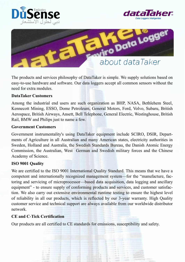





The products and services philosophy of DataTaker is simple. We supply solutions based on easy-to-use hardware and software. Our data loggers accept all common sensors without the need for extra modules.

#### **DataTaker Customers**

Among the industrial end users are such organization as BHP, NASA, Bethlehem Steel, Kennecott Mining, ESSO, Dome Petroleum, General Motors, Ford, Volvo, Subaru, British Aerospace, British Airways, Ansett, Bell Telephone, General Electric, Westinghouse, British Rail, BMW and Philips just to name a few.

#### **Government Customers**

Government instrumentality's using DataTaker equipment include SCIRO, DSIR, Departments of Agriculture in all Australian and many American states, electricity authorities in Sweden, Holland and Australia, the Swedish Standards Bureau, the Danish Atomic Energy Commission, the Australian, West German and Swedish military forces and the Chinese Academy of Science.

#### **ISO 9001 Quality**

We are certified to the ISO 9001 International Quality Standard. This means that we have a competent and internationally recognized management system—for the "manufacture, factoring and servicing of microprocessor—based data acquisition, data logging and ancillary equipment" - to ensure supply of conforming products and services, and customer satisfaction. We also carry out extensive environmental runtime testing to ensure the highest level of reliability in all our products, which is reflected by our 3-year warranty. High Quality customer service and technical support are always available from our worldwide distributor network.

#### **CE and C-Tick Certification**

Our products are all certified to CE standards for emissions, susceptibility and safety.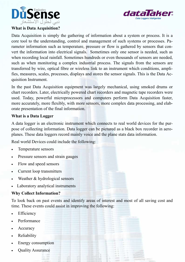



#### **What is Data Acquisition?**

Data Acquisition is simply the gathering of information about a system or process. It is a core tool to the understanding, control and management of such systems or processes. Parameter information such as temperature, pressure or flow is gathered by sensors that convert the information into electrical signals. Sometimes only one sensor is needed, such as when recording local rainfall. Sometimes hundreds or even thousands of sensors are needed, such as when monitoring a complex industrial process. The signals from the sensors are transferred by wire, optical fibre or wireless link to an instrument which conditions, amplifies, measures, scales, processes, displays and stores the sensor signals. This is the Data Acquisition Instrument.

In the past Data Acquisition equipment was largely mechanical, using smoked drums or chart recorders. Later, electrically powered chart recorders and magnetic tape recorders were used. Today, powerful microprocessors and computers perform Data Acquisition faster, more accurately, more flexibly, with more sensors, more complex data processing, and elaborate presentation of the final information.

#### **What is a Data Logger**

A data logger is an electronic instrument which connects to real world devices for the purpose of collecting information. Data logger can be pictured as a black box recorder in aeroplanes. These data loggers record mainly voice and the plane stats data information.

Real world Devices could include the following:

- Temperature sensors
- Pressure sensors and strain gauges
- Flow and speed sensors
- Current loop transmitters
- Weather & hydrological sensors
- Laboratory analytical instruments

#### **Why Collect Information?**

To look back on past events and identify areas of interest and most of all saving cost and time. These events could assist in improving the following:

- Efficiency
- Performance
- Accuracy
- Reliability
- Energy consumption
- Quality Assurance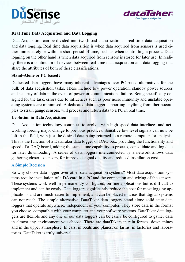



#### **Real Time Data Acquisition and Data Logging**

Data Acquisition can be divided into two broad classifications—real time data acquisition and data logging. Real time data acquisition is when data acquired from sensors is used either immediately or within a short period of time, such as when controlling a process. Data logging on the other hand is when data acquired from sensors is stored for later use. In reality, there is a continuum of devices between real time data acquisition and data logging that share the attributes of both of these classifications.

#### **Stand-Alone or PC based?**

Dedicated data loggers have many inherent advantages over PC based alternatives for the bulk of data acquisition tasks. These include low power operation, standby power sources and security of data in the event of power or communications failure. Being specifically designed for the task, errors due to influences such as poor noise immunity and unstable operating systems are minimised. A dedicated data logger supporting anything from thermocouples to strain gauge sensors, will process and return data to a PC in real time.

#### **Evolution in Data Acquisition**

Data Acquisition technology continues to evolve, with high speed data interfaces and networking forcing major change to previous practices. Sensitive low level signals can now be left in the field, with just the desired data being returned to a remote computer for analysis. This is the function of a DataTaker data logger or DAQ box, providing the functionality and speed of a DAQ board, adding the standalone capability to process, consolidate and log data for later downloading. A series of data loggers interconnected by a network allows data gathering closer to sensors, for improved signal quality and reduced installation cost.

#### **A Simple Decision**

So why choose data logger over other data acquisition systems? Most data acquisition systems require installation of a DA card in a PC and the connection and wiring of the sensors. These systems work well in permanently configured, on-line applications but is difficult to implement and can be costly. Data loggers significantly reduce the cost for most logging applications and are much easier to implement, and can be placed in areas that digital systems can not reach. The simple alternative, DataTaker data loggers stand alone solid state data loggers that operate anywhere, independent of your computer. They store data in the format you choose, compatible with your computer and your software systems. DataTaker data loggers are flexible and any one of our data loggers can be easily be configured to gather data in almost any environment you choose. There are dataTakers in rain forests, down mines and in the upper atmosphere. In cars, in boats and planes, on farms, in factories and laboratories, DataTaker is truly universal.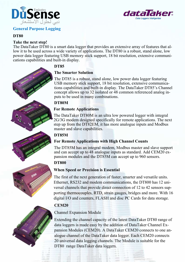

#### **General Purpose Logging**

#### **DT80**

#### **Take the next step!**

The DataTaker DT80 is a smart data logger that provides an extensive array of features that allow it to be used across a wide variety of applications. The DT80 is a robust, stand alone, low power data logger featuring USB memory stick support, 18 bit resolution, extensive communications capabilities and built-in display.

#### **DT85**

#### **The Smarter Solution**

The DT85 is a robust, stand alone, low power data logger featuring USB memory stick support, 18 bit resolution, extensive communications capabilities and built-in display. The DataTaker DT85's Channel concept allows up to 32 isolated or 48 common referenced analog inputs to be used in many combinations.

#### **DT80M**

#### **For Remote Applications**

The DataTaker DT80M is an ultra low powered logger with integral 2G/3G modem designed specifically for remote applications. The next step up from the DT82EM, it has more analogue inputs and Modbus master and slave capabilities.

#### **DT85M**

#### **For Remote Applications with High Channel Counts**

The DT85M has an integral modem, Modbus master and slave support and can accept up to 48 analogue inputs as standard. Add CEM20 expansion modules and the DT85M can accept up to 960 sensors.

#### **DT800**

#### **When Speed or Precision is Essential**

The first of the next generation of faster, smarter and versatile units. Ethernet, RS232 and modem communications, the DT800 has 12 universal channels that provide direct connection of 12 to 42 sensors supporting thermocouples, RTD, strain gauges, bridges and more. With 16 digital I/O and counters, FLASH and disc PC Cards for data storage.

#### **CEM20**

#### Channel Expansion Module

Extending the channel capacity of the latest DataTaker DT80 range of data loggers is made easy by the addition of DataTaker Channel Expansion Modules (CEM20). A DataTaker CEM20 connects to one analogue channel of the DataTaker data logger. Each CEM20 connects 20 universal data logging channels. The Module is suitable for the DT80 range DataTaker data loggers.





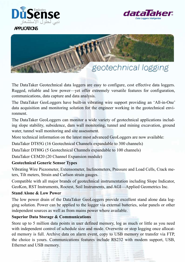



#### APPLICATIONS



The DataTaker Geotechnical data loggers are easy to configure, cost effective data loggers. Rugged, reliable and low power—yet offer extremely versatile features for configuration, communications, data capture and data analysis.

The DataTaker GeoLoggers have built-in vibrating wire support providing an 'All-in-One' data acquisition and monitoring solution for the engineer working in the geotechnical environment.

The DataTaker GeoLoggers can monitor a wide variety of geotechnical applications including slope stability, subsidence, dam wall monitoring, tunnel and mining excavation, ground water, tunnel wall monitoring and site assessment.

More technical information on the latest most advanced GeoLoggers are now available:

DataTaker DT85G (16 Geotechnical Channels expandable to 300 channels)

DataTaker DT80G (5 Geotechnical Channels expandable to 100 channels)

DataTaker CEM20 (20 Channel Expansion module)

#### **Geotechnical Generic Sensor Types**

Vibrating Wire Piezometer, Extensometer, Inclinometers, Pressure and Load Cells, Crack meters, Tilt meters, Strain and Carlson strain gauges.

Compatible with all major brands of geotechnical instrumentation including Slope Indicator, GeoKon, RST Instruments, Roctest, Soil Instruments, and AGI—Applied Geometrics Inc.

#### **Stand Alone & Low Power**

The low power drain of the DataTaker GeoLoggers provide excellent stand alone data logging solution. Power can be applied to the logger via external batteries, solar panels or other independent sources as well as from mains power where available.

#### **Superior Data Storage & Communications**

Store up to 5 million data points in user defined memory, log as much or little as you need with independent control of schedule size and mode. Overwrite or stop logging once allocated memory is full. Archive data on alarm event, copy to USB memory or transfer via FTP, the choice is yours. Communications features include RS232 with modem support, USB, Ethernet and USB memory.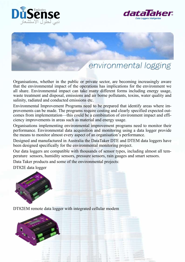





## environmental logging

Organisations, whether in the public or private sector, are becoming increasingly aware that the environmental impact of the operations has implications for the environment we all share. Environmental impact can take many different forms including energy usage, waste treatment and disposal, emissions and air borne pollutants, toxins, water quality and salinity, radiated and conducted emissions etc.

Environmental Improvement Programs need to be prepared that identify areas where improvements can be made. The programs require costing and clearly specified expected outcomes from implementation—this could be a combination of environment impact and efficiency improvements in areas such as material and energy usage.

Organisations implementing environmental improvement programs need to monitor their performance. Environmental data acquisition and monitoring using a data logger provide the means to monitor almost every aspect of an organisation's performance.

Designed and manufactured in Australia the DataTaker DTE and DTEM data loggers have been designed specifically for the environmental monitoring project.

Our data loggers are compatible with thousands of sensor types, including almost all temperature sensors, humidity sensors, pressure sensors, rain gauges and smart sensors.

Data Taker products and some of the environmental projects:

DT82E data logger



DT82EM remote data logger with integrated cellular modem